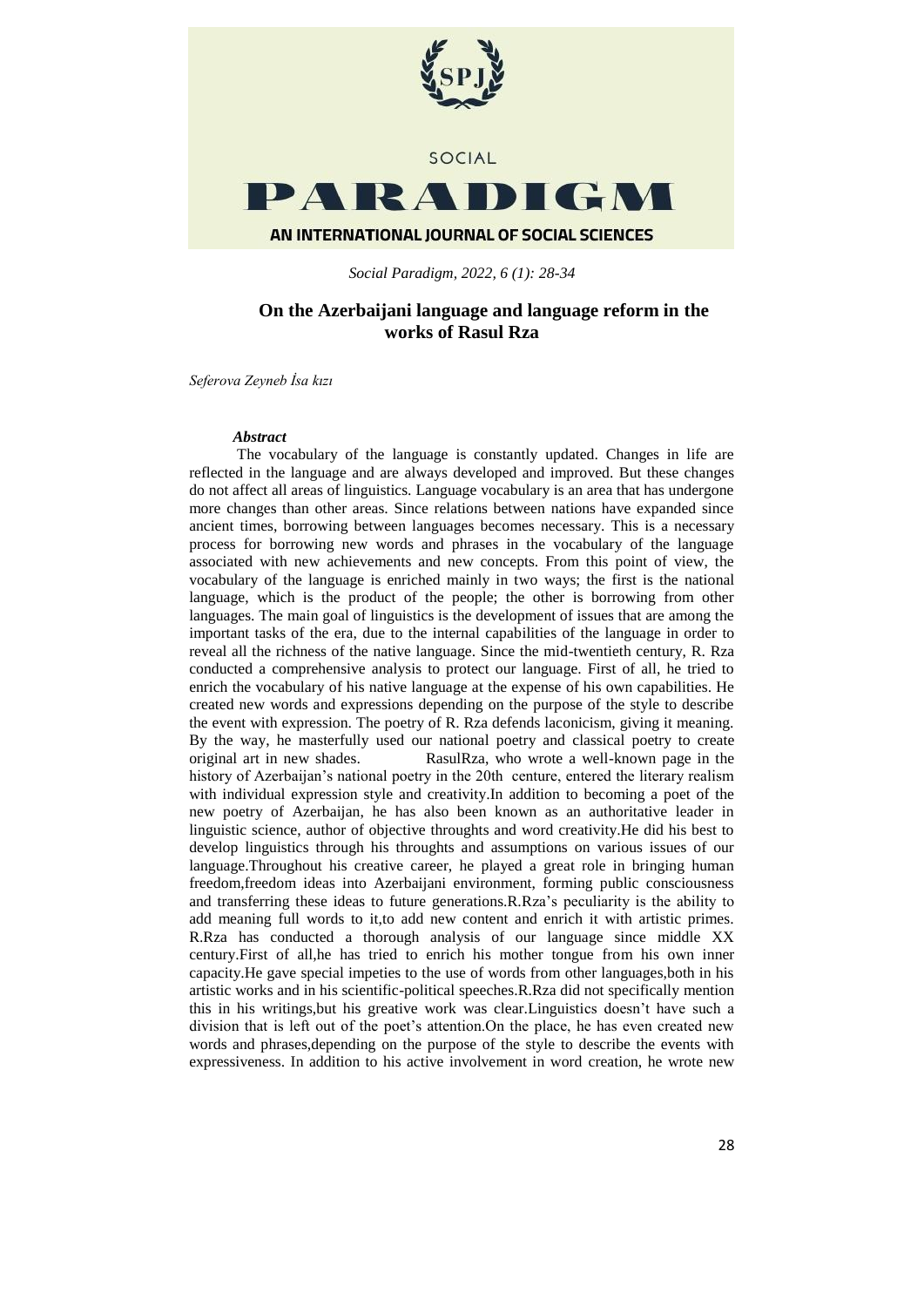

*Social Paradigm, 2022, 6 (1): 28-34*

# **On the Azerbaijani language and language reform in the works of Rasul Rza**

*Seferova Zeyneb İsa kızı*

### *Abstract*

The vocabulary of the language is constantly updated. Changes in life are reflected in the language and are always developed and improved. But these changes do not affect all areas of linguistics. Language vocabulary is an area that has undergone more changes than other areas. Since relations between nations have expanded since ancient times, borrowing between languages becomes necessary. This is a necessary process for borrowing new words and phrases in the vocabulary of the language associated with new achievements and new concepts. From this point of view, the vocabulary of the language is enriched mainly in two ways; the first is the national language, which is the product of the people; the other is borrowing from other languages. The main goal of linguistics is the development of issues that are among the important tasks of the era, due to the internal capabilities of the language in order to reveal all the richness of the native language. Since the mid-twentieth century, R. Rza conducted a comprehensive analysis to protect our language. First of all, he tried to enrich the vocabulary of his native language at the expense of his own capabilities. He created new words and expressions depending on the purpose of the style to describe the event with expression. The poetry of R. Rza defends laconicism, giving it meaning. By the way, he masterfully used our national poetry and classical poetry to create original art in new shades. RasulRza, who wrote a well-known page in the history of Azerbaijan's national poetry in the 20th centure, entered the literary realism with individual expression style and creativity.In addition to becoming a poet of the new poetry of Azerbaijan, he has also been known as an authoritative leader in linguistic science, author of objective throughts and word creativity.He did his best to develop linguistics through his throughts and assumptions on various issues of our language.Throughout his creative career, he played a great role in bringing human freedom,freedom ideas into Azerbaijani environment, forming public consciousness and transferring these ideas to future generations.R.Rza's peculiarity is the ability to add meaning full words to it,to add new content and enrich it with artistic primes. R.Rza has conducted a thorough analysis of our language since middle XX century.First of all,he has tried to enrich his mother tongue from his own inner capacity.He gave special impeties to the use of words from other languages,both in his artistic works and in his scientific-political speeches.R.Rza did not specifically mention this in his writings,but his greative work was clear.Linguistics doesn't have such a division that is left out of the poet's attention.On the place, he has even created new words and phrases,depending on the purpose of the style to describe the events with expressiveness. In addition to his active involvement in word creation, he wrote new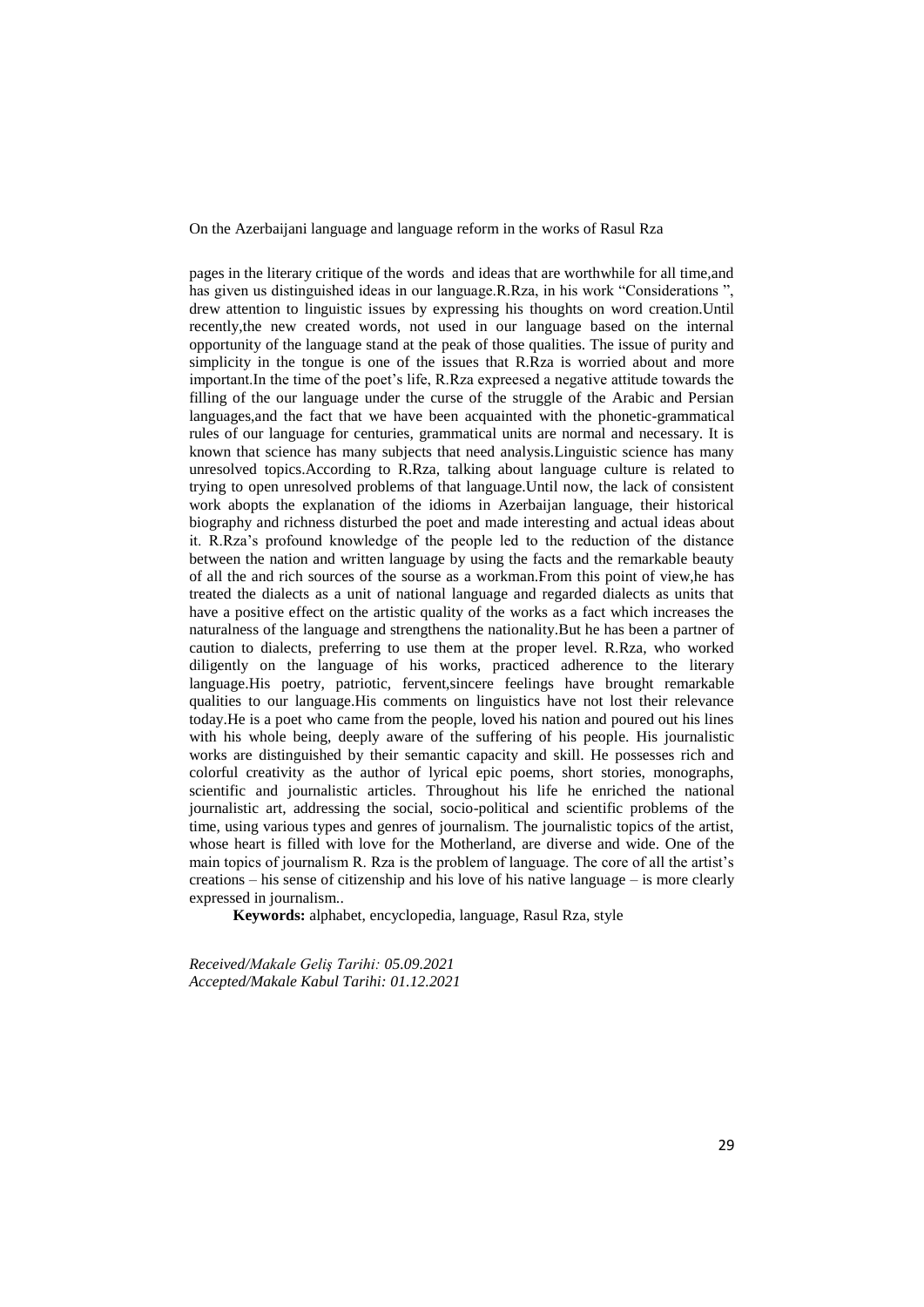On the Azerbaijani language and language reform in the works of Rasul Rza

pages in the literary critique of the words and ideas that are worthwhile for all time,and has given us distinguished ideas in our language.R.Rza, in his work "Considerations ", drew attention to linguistic issues by expressing his thoughts on word creation.Until recently,the new created words, not used in our language based on the internal opportunity of the language stand at the peak of those qualities. The issue of purity and simplicity in the tongue is one of the issues that R.Rza is worried about and more important.In the time of the poet's life, R.Rza expreesed a negative attitude towards the filling of the our language under the curse of the struggle of the Arabic and Persian languages,and the fact that we have been acquainted with the phonetic-grammatical rules of our language for centuries, grammatical units are normal and necessary. It is known that science has many subjects that need analysis.Linguistic science has many unresolved topics.According to R.Rza, talking about language culture is related to trying to open unresolved problems of that language.Until now, the lack of consistent work abopts the explanation of the idioms in Azerbaijan language, their historical biography and richness disturbed the poet and made interesting and actual ideas about it. R.Rza's profound knowledge of the people led to the reduction of the distance between the nation and written language by using the facts and the remarkable beauty of all the and rich sources of the sourse as a workman.From this point of view,he has treated the dialects as a unit of national language and regarded dialects as units that have a positive effect on the artistic quality of the works as a fact which increases the naturalness of the language and strengthens the nationality.But he has been a partner of caution to dialects, preferring to use them at the proper level. R.Rza, who worked diligently on the language of his works, practiced adherence to the literary language.His poetry, patriotic, fervent,sincere feelings have brought remarkable qualities to our language.His comments on linguistics have not lost their relevance today.He is a poet who came from the people, loved his nation and poured out his lines with his whole being, deeply aware of the suffering of his people. His journalistic works are distinguished by their semantic capacity and skill. He possesses rich and colorful creativity as the author of lyrical epic poems, short stories, monographs, scientific and journalistic articles. Throughout his life he enriched the national journalistic art, addressing the social, socio-political and scientific problems of the time, using various types and genres of journalism. The journalistic topics of the artist, whose heart is filled with love for the Motherland, are diverse and wide. One of the main topics of journalism R. Rza is the problem of language. The core of all the artist's creations – his sense of citizenship and his love of his native language – is more clearly expressed in journalism..

**Keywords:** alphabet, encyclopedia, language, Rasul Rza, style

*Received/Makale Geliş Tarihi: 05.09.2021 Accepted/Makale Kabul Tarihi: 01.12.2021*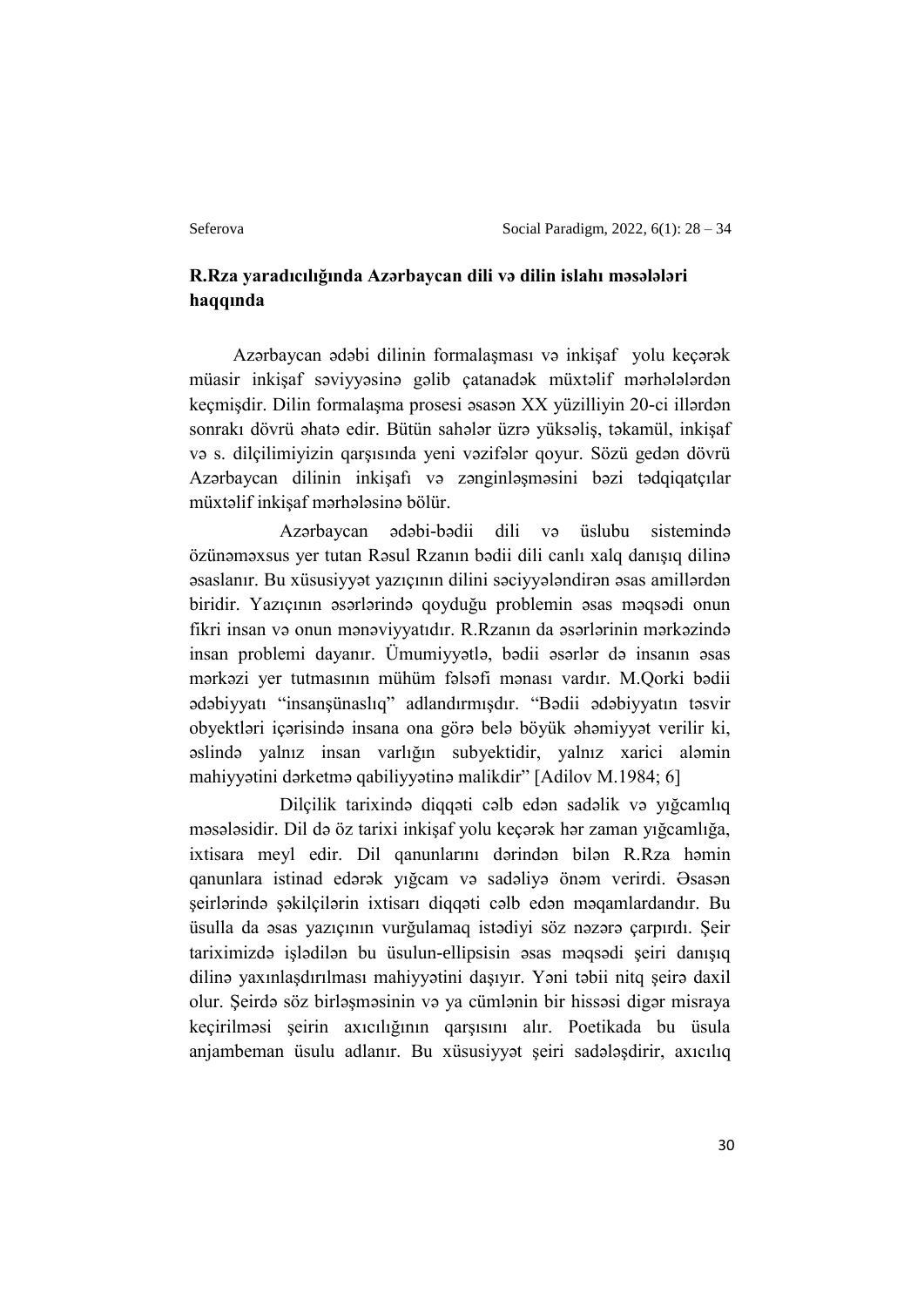# **R.Rza yaradıcılığında Azərbaycan dili və dilin islahı məsələləri haqqında**

Azərbaycan ədəbi dilinin formalaşması və inkişaf yolu keçərək müasir inkişaf səviyyəsinə gəlib çatanadək müxtəlif mərhələlərdən keçmişdir. Dilin formalaşma prosesi əsasən XX yüzilliyin 20-ci illərdən sonrakı dövrü əhatə edir. Bütün sahələr üzrə yüksəliş, təkamül, inkişaf və s. dilçilimiyizin qarşısında yeni vəzifələr qoyur. Sözü gedən dövrü Azərbaycan dilinin inkişafı və zənginləşməsini bəzi tədqiqatçılar müxtəlif inkişaf mərhələsinə bölür.

 Azərbaycan ədəbi-bədii dili və üslubu sistemində özünəməxsus yer tutan Rəsul Rzanın bədii dili canlı xalq danışıq dilinə əsaslanır. Bu xüsusiyyət yazıçının dilini səciyyələndirən əsas amillərdən biridir. Yazıçının əsərlərində qoyduğu problemin əsas məqsədi onun fikri insan və onun mənəviyyatıdır. R.Rzanın da əsərlərinin mərkəzində insan problemi dayanır. Ümumiyyətlə, bədii əsərlər də insanın əsas mərkəzi yer tutmasının mühüm fəlsəfi mənası vardır. M.Qorki bədii ədəbiyyatı "insanşünaslıq" adlandırmışdır. "Bədii ədəbiyyatın təsvir obyektləri içərisində insana ona görə belə böyük əhəmiyyət verilir ki, əslində yalnız insan varlığın subyektidir, yalnız xarici aləmin mahiyyətini dərketmə qabiliyyətinə malikdir" [Adilov M.1984; 6]

 Dilçilik tarixində diqqəti cəlb edən sadəlik və yığcamlıq məsələsidir. Dil də öz tarixi inkişaf yolu keçərək hər zaman yığcamlığa, ixtisara meyl edir. Dil qanunlarını dərindən bilən R.Rza həmin qanunlara istinad edərək yığcam və sadəliyə önəm verirdi. Əsasən şeirlərində şəkilçilərin ixtisarı diqqəti cəlb edən məqamlardandır. Bu üsulla da əsas yazıçının vurğulamaq istədiyi söz nəzərə çarpırdı. Şeir tariximizdə işlədilən bu üsulun-ellipsisin əsas məqsədi şeiri danışıq dilinə yaxınlaşdırılması mahiyyətini daşıyır. Yəni təbii nitq şeirə daxil olur. Şeirdə söz birləşməsinin və ya cümlənin bir hissəsi digər misraya keçirilməsi şeirin axıcılığının qarşısını alır. Poetikada bu üsula anjambeman üsulu adlanır. Bu xüsusiyyət şeiri sadələşdirir, axıcılıq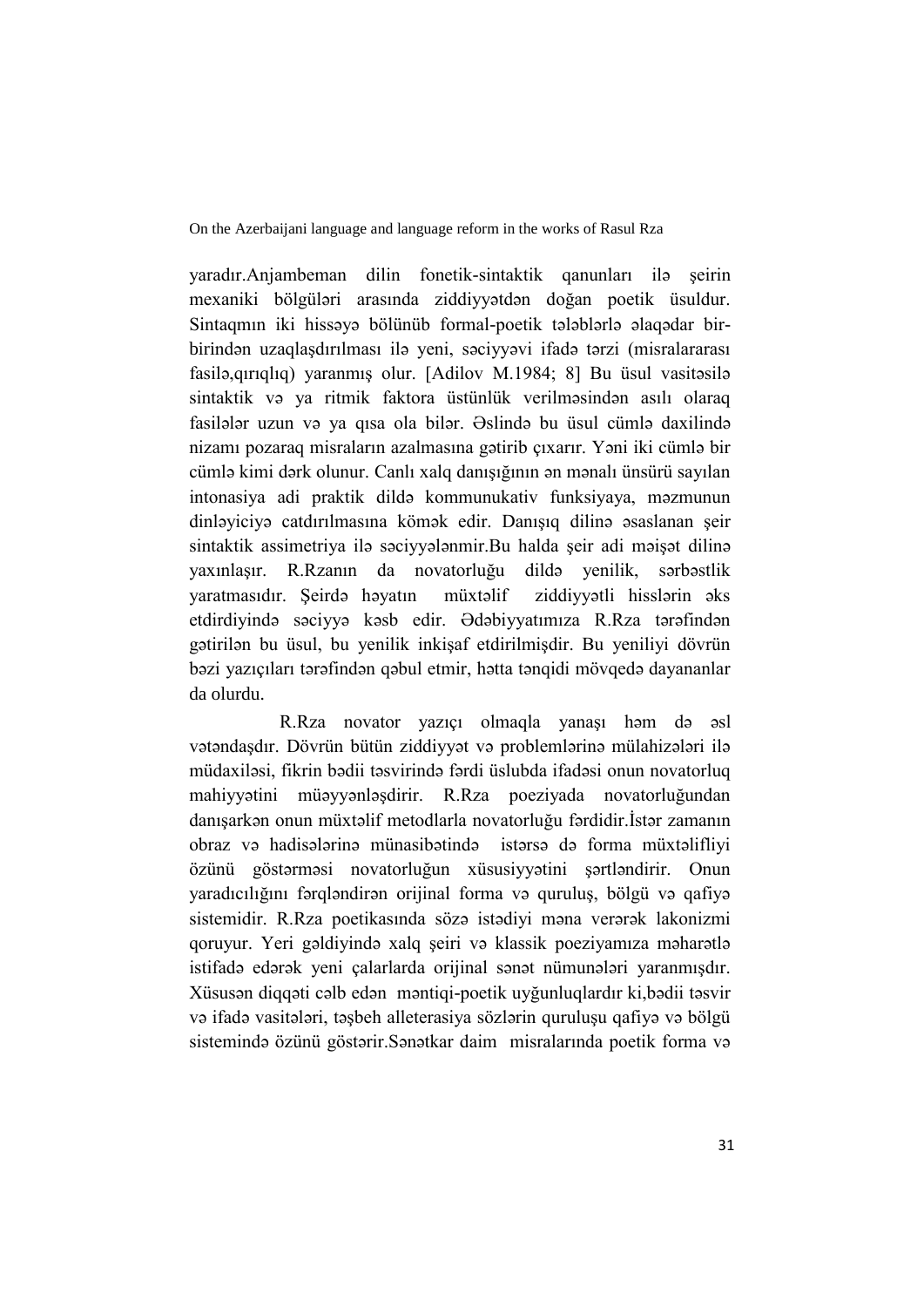On the Azerbaijani language and language reform in the works of Rasul Rza

yaradır.Anjambeman dilin fonetik-sintaktik qanunları ilə şeirin mexaniki bölgüləri arasında ziddiyyətdən doğan poetik üsuldur. Sintaqmın iki hissəyə bölünüb formal-poetik tələblərlə əlaqədar birbirindən uzaqlaşdırılması ilə yeni, səciyyəvi ifadə tərzi (misralararası fasilə,qırıqlıq) yaranmış olur. [Adilov M.1984; 8] Bu üsul vasitəsilə sintaktik və ya ritmik faktora üstünlük verilməsindən asılı olaraq fasilələr uzun və ya qısa ola bilər. Əslində bu üsul cümlə daxilində nizamı pozaraq misraların azalmasına gətirib çıxarır. Yəni iki cümlə bir cümlə kimi dərk olunur. Canlı xalq danışığının ən mənalı ünsürü sayılan intonasiya adi praktik dildə kommunukativ funksiyaya, məzmunun dinləyiciyə catdırılmasına kömək edir. Danışıq dilinə əsaslanan şeir sintaktik assimetriya ilə səciyyələnmir.Bu halda şeir adi məişət dilinə yaxınlaşır. R.Rzanın da novatorluğu dildə yenilik, sərbəstlik yaratmasıdır. Şeirdə həyatın müxtəlif ziddiyyətli hisslərin əks etdirdiyində səciyyə kəsb edir. Ədəbiyyatımıza R.Rza tərəfindən gətirilən bu üsul, bu yenilik inkişaf etdirilmişdir. Bu yeniliyi dövrün bəzi yazıçıları tərəfindən qəbul etmir, hətta tənqidi mövqedə dayananlar da olurdu.

 R.Rza novator yazıçı olmaqla yanaşı həm də əsl vətəndaşdır. Dövrün bütün ziddiyyət və problemlərinə mülahizələri ilə müdaxiləsi, fikrin bədii təsvirində fərdi üslubda ifadəsi onun novatorluq mahiyyətini müəyyənləşdirir. R.Rza poeziyada novatorluğundan danışarkən onun müxtəlif metodlarla novatorluğu fərdidir.İstər zamanın obraz və hadisələrinə münasibətində istərsə də forma müxtəlifliyi özünü göstərməsi novatorluğun xüsusiyyətini şərtləndirir. Onun yaradıcılığını fərqləndirən orijinal forma və quruluş, bölgü və qafiyə sistemidir. R.Rza poetikasında sözə istədiyi məna verərək lakonizmi qoruyur. Yeri gəldiyində xalq şeiri və klassik poeziyamıza məharətlə istifadə edərək yeni çalarlarda orijinal sənət nümunələri yaranmışdır. Xüsusən diqqəti cəlb edən məntiqi-poetik uyğunluqlardır ki,bədii təsvir və ifadə vasitələri, təşbeh alleterasiya sözlərin quruluşu qafiyə və bölgü sistemində özünü göstərir.Sənətkar daim misralarında poetik forma və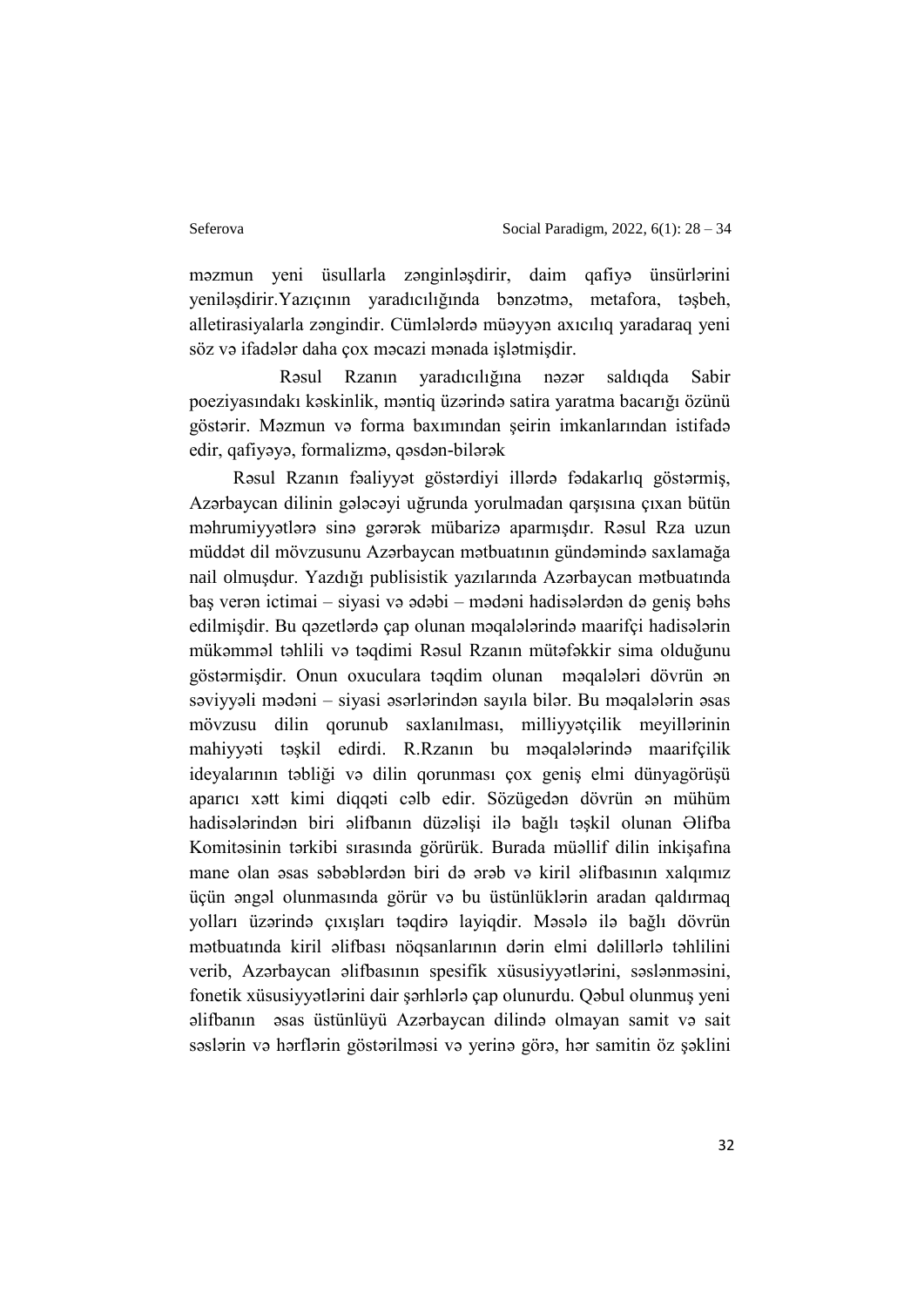məzmun yeni üsullarla zənginləşdirir, daim qafiyə ünsürlərini yeniləşdirir.Yazıçının yaradıcılığında bənzətmə, metafora, təşbeh, alletirasiyalarla zəngindir. Cümlələrdə müəyyən axıcılıq yaradaraq yeni söz və ifadələr daha çox məcazi mənada işlətmişdir.

 Rəsul Rzanın yaradıcılığına nəzər saldıqda Sabir poeziyasındakı kəskinlik, məntiq üzərində satira yaratma bacarığı özünü göstərir. Məzmun və forma baxımından şeirin imkanlarından istifadə edir, qafiyəyə, formalizmə, qəsdən-bilərək

Rəsul Rzanın fəaliyyət göstərdiyi illərdə fədakarlıq göstərmiş, Azərbaycan dilinin gələcəyi uğrunda yorulmadan qarşısına çıxan bütün məhrumiyyətlərə sinə gərərək mübarizə aparmışdır. Rəsul Rza uzun müddət dil mövzusunu Azərbaycan mətbuatının gündəmində saxlamağa nail olmuşdur. Yazdığı publisistik yazılarında Azərbaycan mətbuatında baş verən ictimai – siyasi və ədəbi – mədəni hadisələrdən də geniş bəhs edilmişdir. Bu qəzetlərdə çap olunan məqalələrində maarifçi hadisələrin mükəmməl təhlili və təqdimi Rəsul Rzanın mütəfəkkir sima olduğunu göstərmişdir. Onun oxuculara təqdim olunan məqalələri dövrün ən səviyyəli mədəni – siyasi əsərlərindən sayıla bilər. Bu məqalələrin əsas mövzusu dilin qorunub saxlanılması, milliyyətçilik meyillərinin mahiyyəti təşkil edirdi. R.Rzanın bu məqalələrində maarifçilik ideyalarının təbliği və dilin qorunması çox geniş elmi dünyagörüşü aparıcı xətt kimi diqqəti cəlb edir. Sözügedən dövrün ən mühüm hadisələrindən biri əlifbanın düzəlişi ilə bağlı təşkil olunan Əlifba Komitəsinin tərkibi sırasında görürük. Burada müəllif dilin inkişafına mane olan əsas səbəblərdən biri də ərəb və kiril əlifbasının xalqımız üçün əngəl olunmasında görür və bu üstünlüklərin aradan qaldırmaq yolları üzərində çıxışları təqdirə layiqdir. Məsələ ilə bağlı dövrün mətbuatında kiril əlifbası nöqsanlarının dərin elmi dəlillərlə təhlilini verib, Azərbaycan əlifbasının spesifik xüsusiyyətlərini, səslənməsini, fonetik xüsusiyyətlərini dair şərhlərlə çap olunurdu. Qəbul olunmuş yeni əlifbanın əsas üstünlüyü Azərbaycan dilində olmayan samit və sait səslərin və hərflərin göstərilməsi və yerinə görə, hər samitin öz şəklini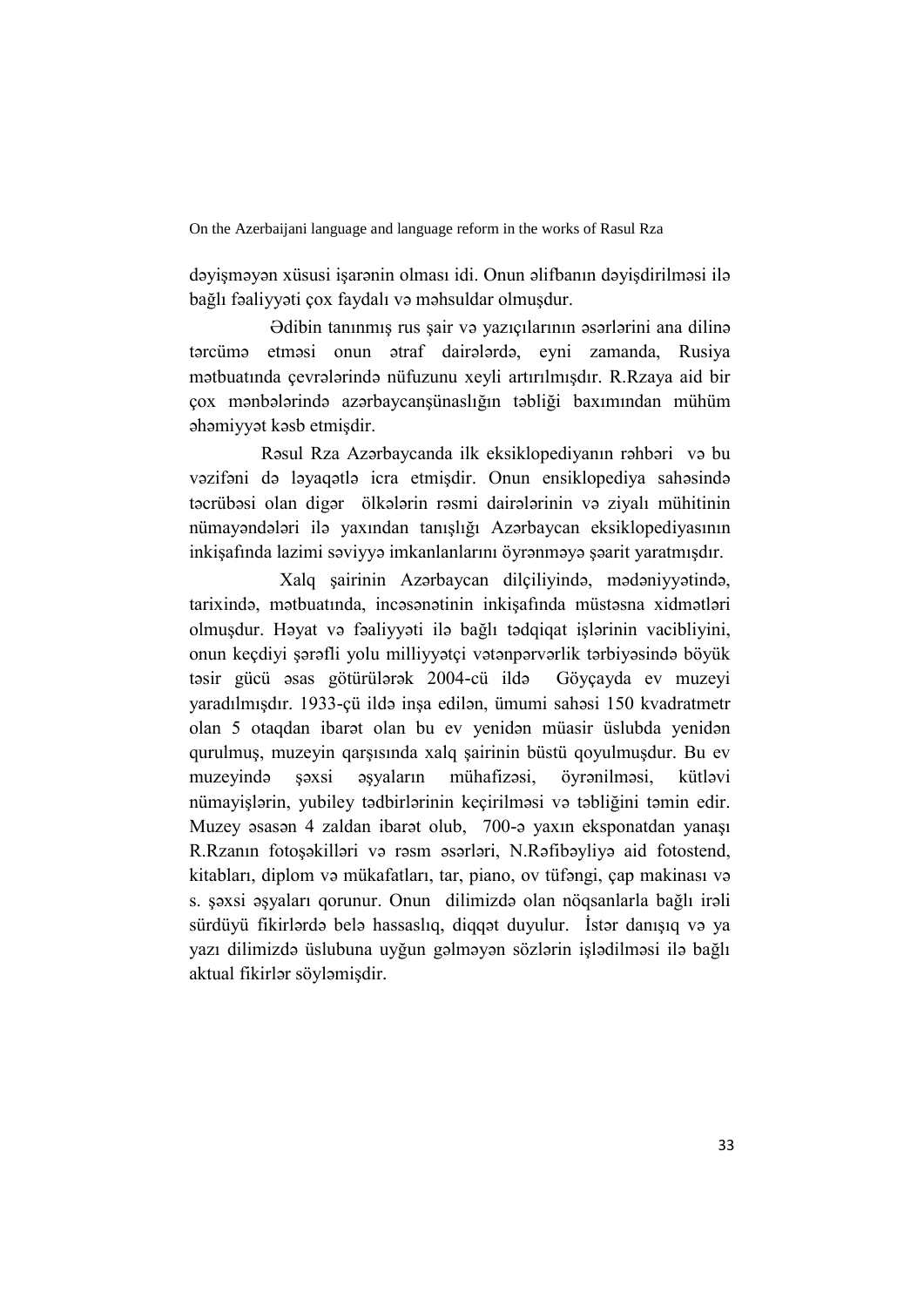On the Azerbaijani language and language reform in the works of Rasul Rza

dəyişməyən xüsusi işarənin olması idi. Onun əlifbanın dəyişdirilməsi ilə bağlı fəaliyyəti çox faydalı və məhsuldar olmuşdur.

 Ədibin tanınmış rus şair və yazıçılarının əsərlərini ana dilinə tərcümə etməsi onun ətraf dairələrdə, eyni zamanda, Rusiya mətbuatında çevrələrində nüfuzunu xeyli artırılmışdır. R.Rzaya aid bir çox mənbələrində azərbaycanşünaslığın təbliği baxımından mühüm əhəmiyyət kəsb etmişdir.

 Rəsul Rza Azərbaycanda ilk eksiklopediyanın rəhbəri və bu vəzifəni də ləyaqətlə icra etmişdir. Onun ensiklopediya sahəsində təcrübəsi olan digər ölkələrin rəsmi dairələrinin və ziyalı mühitinin nümayəndələri ilə yaxından tanışlığı Azərbaycan eksiklopediyasının inkişafında lazimi səviyyə imkanlanlarını öyrənməyə şəarit yaratmışdır.

 Xalq şairinin Azərbaycan dilçiliyində, mədəniyyətində, tarixində, mətbuatında, incəsənətinin inkişafında müstəsna xidmətləri olmuşdur. Həyat və fəaliyyəti ilə bağlı tədqiqat işlərinin vacibliyini, onun keçdiyi şərəfli yolu milliyyətçi vətənpərvərlik tərbiyəsində böyük təsir gücü əsas götürülərək 2004-cü ildə Göyçayda ev muzeyi yaradılmışdır. 1933-çü ildə inşa edilən, ümumi sahəsi 150 kvadratmetr olan 5 otaqdan ibarət olan bu ev yenidən müasir üslubda yenidən qurulmuş, muzeyin qarşısında xalq şairinin büstü qoyulmuşdur. Bu ev muzeyində şəxsi əşyaların mühafizəsi, öyrənilməsi, kütləvi nümayişlərin, yubiley tədbirlərinin keçirilməsi və təbliğini təmin edir. Muzey əsasən 4 zaldan ibarət olub, 700-ə yaxın eksponatdan yanaşı R.Rzanın fotoşəkilləri və rəsm əsərləri, N.Rəfibəyliyə aid fotostend, kitabları, diplom və mükafatları, tar, piano, ov tüfəngi, çap makinası və s. şəxsi əşyaları qorunur. Onun dilimizdə olan nöqsanlarla bağlı irəli sürdüyü fikirlərdə belə hassaslıq, diqqət duyulur. İstər danışıq və ya yazı dilimizdə üslubuna uyğun gəlməyən sözlərin işlədilməsi ilə bağlı aktual fikirlər söyləmişdir.